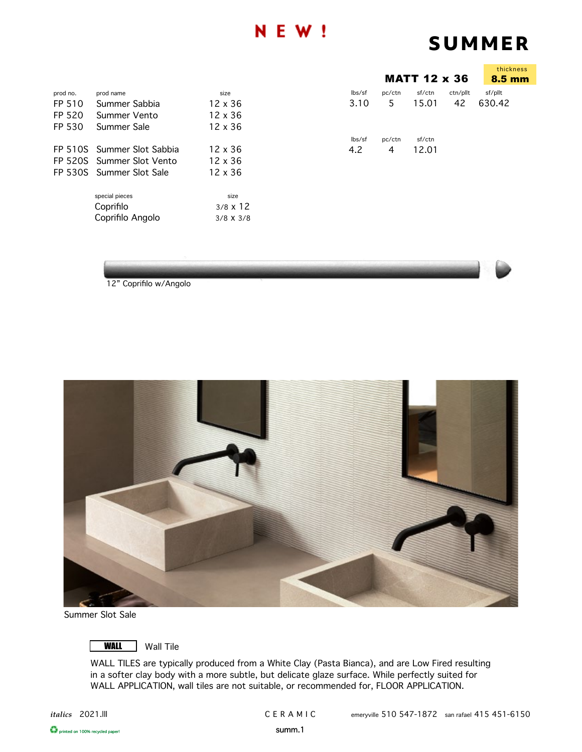## **N E W !**

# **SUMMER**

|          |                            |                  |        |        | <b>MATT 12 x 36</b> |          | thickness<br>8.5 mm |
|----------|----------------------------|------------------|--------|--------|---------------------|----------|---------------------|
| prod no. | prod name                  | size             | lbs/sf | pc/ctn | sf/ctn              | ctn/pllt | sf/pllt             |
| FP 510   | Summer Sabbia              | $12 \times 36$   | 3.10   | 5      | 15.01               | 42       | 630.42              |
| FP 520   | Summer Vento               | 12 x 36          |        |        |                     |          |                     |
| FP 530   | Summer Sale                | 12 x 36          |        |        |                     |          |                     |
|          |                            |                  | lbs/sf | pc/ctn | sf/ctn              |          |                     |
|          | FP 510S Summer Slot Sabbia | $12 \times 36$   | 4.2    | 4      | 12.01               |          |                     |
|          | FP 520S Summer Slot Vento  | $12 \times 36$   |        |        |                     |          |                     |
|          | FP 530S Summer Slot Sale   | $12 \times 36$   |        |        |                     |          |                     |
|          | special pieces             | size             |        |        |                     |          |                     |
|          | Coprifilo                  | $3/8 \times 12$  |        |        |                     |          |                     |
|          | Coprifilo Angolo           | $3/8 \times 3/8$ |        |        |                     |          |                     |
|          |                            |                  |        |        |                     |          |                     |



12" Coprifilo w/Angolo



Summer Slot Sale



**WALL** Wall Tile

WALL TILES are typically produced from a White Clay (Pasta Bianca), and are Low Fired resulting in a softer clay body with a more subtle, but delicate glaze surface. While perfectly suited for WALL APPLICATION, wall tiles are not suitable, or recommended for, FLOOR APPLICATION.

**C** printed on 100% recycled paper! Summ.1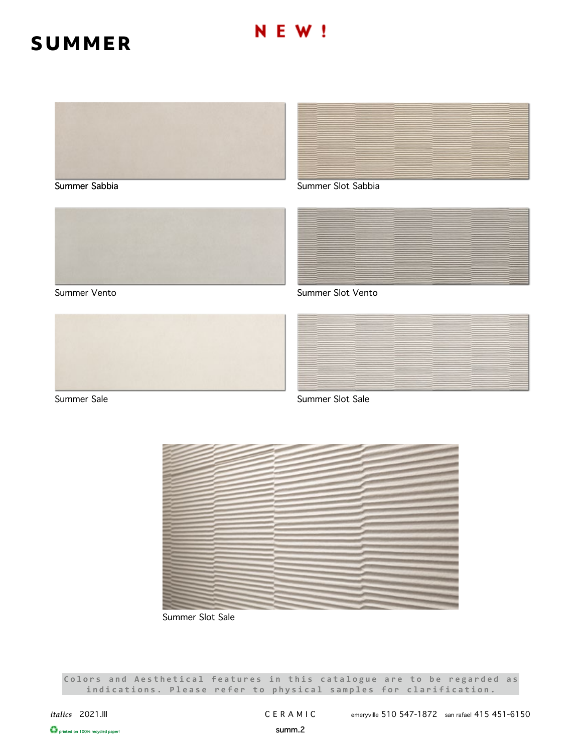# **SUMMER**



Summer Sabbia







Summer Slot Sabbia



Summer Vento Summer Slot Vento



Summer Sale Summer Sale



Summer Slot Sale

Colors and Aesthetical features in this catalogue are to be regarded as **indications. Please refer to physical samples for clarification.**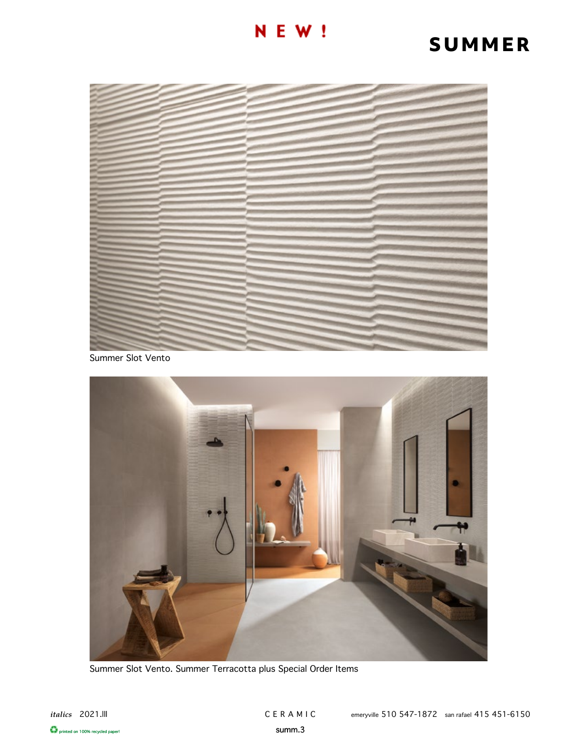### **NEW!**

# **SUMMER**



Summer Slot Vento



Summer Slot Vento. Summer Terracotta plus Special Order Items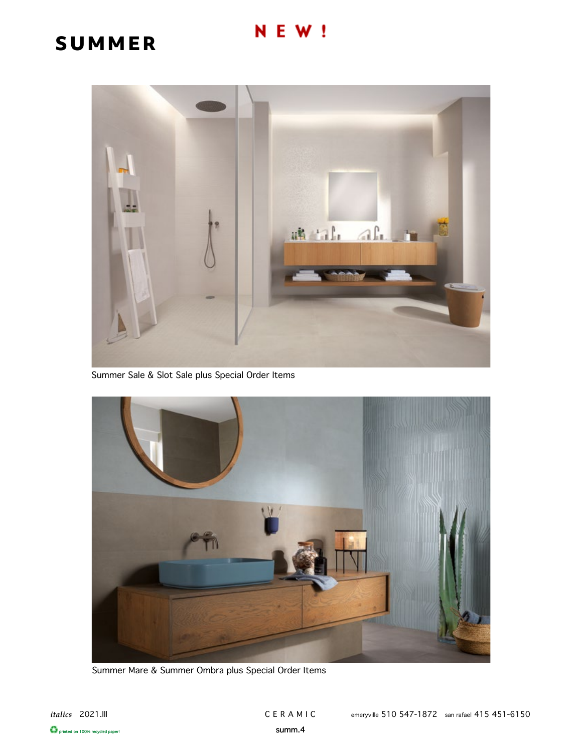#### E W ! N

# **SUMMER**



Summer Sale & Slot Sale plus Special Order Items



Summer Mare & Summer Ombra plus Special Order Items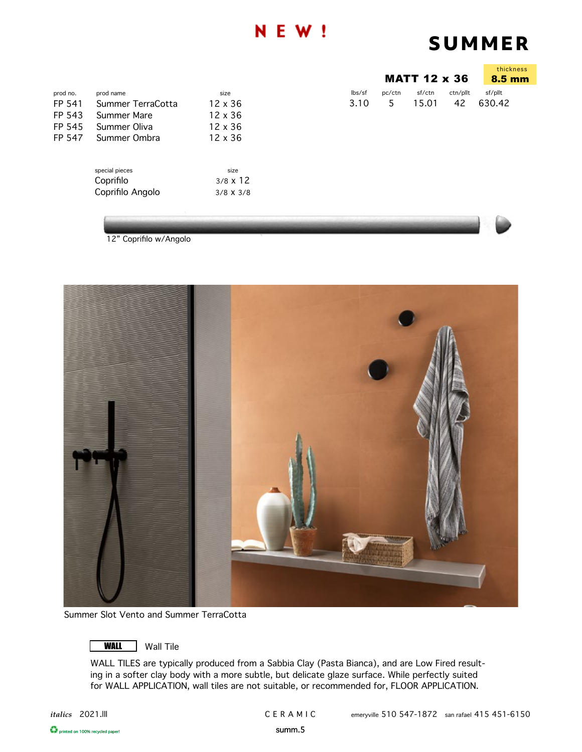### Е

# **SUMMER**

|                            | thickness<br>$8.5 \text{ mm}$ |        |          |         |
|----------------------------|-------------------------------|--------|----------|---------|
| $\mathsf{lbs}/\mathsf{sf}$ | pc/ctn                        | sf/ctn | ctn/pllt | sf/pllt |
| 3.10                       | $\mathcal{P}$                 | 15.01  | 42       | 630.42  |

| prod no. | prod name                                       | size                                        |
|----------|-------------------------------------------------|---------------------------------------------|
| FP 541   | Summer TerraCotta                               | 12 x 36                                     |
| FP 543   | Summer Mare                                     | 12 x 36                                     |
| FP 545   | Summer Oliva                                    | $12 \times 36$                              |
| FP 547   | Summer Ombra                                    | 12 x 36                                     |
|          | special pieces<br>Coprifilo<br>Coprifilo Angolo | size<br>$3/8 \times 12$<br>$3/8 \times 3/8$ |

12" Coprifilo w/Angolo



Summer Slot Vento and Summer TerraCotta



WALL TILES are typically produced from a Sabbia Clay (Pasta Bianca), and are Low Fired resulting in a softer clay body with a more subtle, but delicate glaze surface. While perfectly suited for WALL APPLICATION, wall tiles are not suitable, or recommended for, FLOOR APPLICATION.